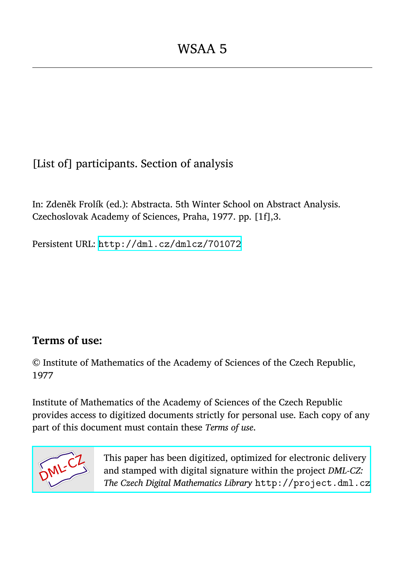[List of] participants. Section of analysis

In: Zdeněk Frolík (ed.): Abstracta. 5th Winter School on Abstract Analysis. Czechoslovak Academy of Sciences, Praha, 1977. pp. [1f],3.

Persistent URL: <http://dml.cz/dmlcz/701072>

## **Terms of use:**

© Institute of Mathematics of the Academy of Sciences of the Czech Republic, 1977

Institute of Mathematics of the Academy of Sciences of the Czech Republic provides access to digitized documents strictly for personal use. Each copy of any part of this document must contain these *Terms of use*.



[This paper has been digitized, optimized for electronic delivery](http://project.dml.cz) and stamped with digital signature within the project *DML-CZ: The Czech Digital Mathematics Library* http://project.dml.cz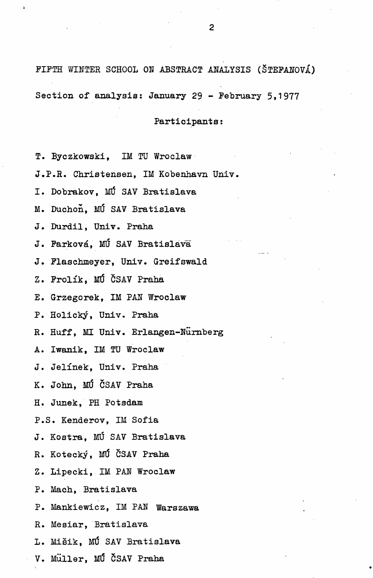FIFTH WINTER SCHOOL ON ABSTRACT ANALYSIS (ŠTEFANOVÁ) Section of analysis: January 29 - February 5,1977

## Participants:

- T. Byczkowski, IM TU Wroclaw
- J.P.R. Christensen, IM Kobenhavn Univ.
- I. Dohrakov, MÚ SAV Bratislava
- M. Duchon, MÚ SAV Bratislava
- J. Durdil, Univ. Praha
- J. Farková, MÚ SAV Bratislava
- J. Plaschmeyer, Univ. Greifswald
- Z. Frolík, MÚ ČSAV Praha
- E. Grzegorek, IM PAN Wroclaw
- P. Holický, Univ. Praha
- R. Huff, MI Univ. Erlangen-Nürnberg
- A. Iwanik, IM TU Wroclaw
- J. Jelínek, Univ. Praha
- K. John, MÚ ČSAV Praha
- H. Junek, PH Potsdam
- P.S. Kenderov, IM Sofia
- J. Kostra, MÚ SAV Bratislava
- R. Kotecký, MÚ ČSAV Praha
- Z. Lipecki, IM PAN Wroclaw
- P. Mach, Bratislava
- P. Mankiewicz, IM PAH Warszawa
- R. Mesiar, Bratislava
- L. Mišik, MÚ SAV Bratislava
- V. Müller, MŰ ČSAV Praha